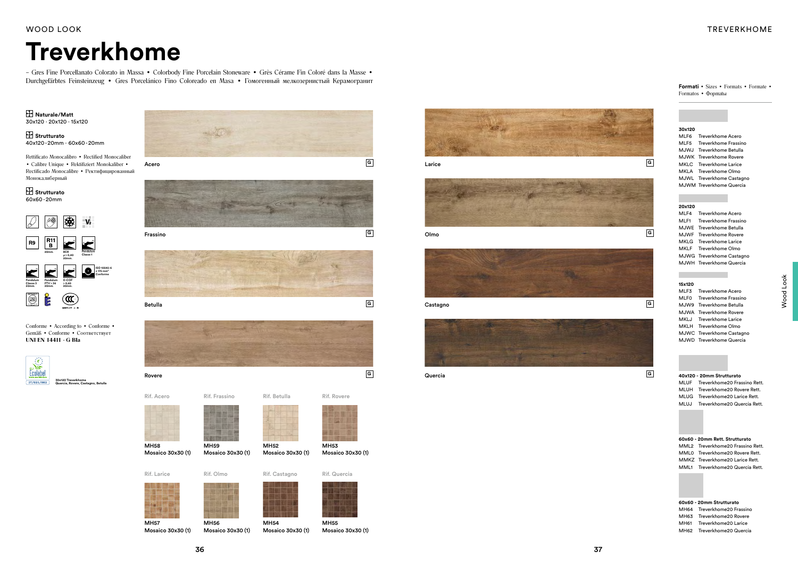### WOOD LOOK

## **Treverkhome**

## TREVERKHOME

Frassino









Rovere



**G**

Castagno



Quercia **<sup>G</sup>**





Olmo







Conforme • According to • Conforme • Gemäß • Conforme • Соответствует UNI EN 14411 - G BIa



#### **Naturale/Matt** 30x120 · 20x120 · 15x120

 **Strutturato** 40x120-20mm · 60x60-20mm

> MH59 Mosaico 30x30

Rettificato Monocalibro • Rectified Monocaliber • Calibre Unique • Rektifiziert Monokaliber • Rectificado Monocalibre • Ректифицированный Монокалиберный

## **Strutturato**

60x60-20mm

Rif. Betulla

| (1) | MH52 |  |  | Mosaico 30x30 (1) |
|-----|------|--|--|-------------------|
|     |      |  |  |                   |
|     |      |  |  |                   |



Mosaico 30x30 (1)

| Rif. Castagno | Rif. Quercia |
|---------------|--------------|
|               |              |

Rif. Rovere

MH54











MH56 Mosaico 30x30 (1) MH57 Mosaico 30x30 (1)



MH58 Mosaico 30x30 (1)

### **15x120**

| MLF3 Treverkhome Acero    |
|---------------------------|
| MLFO Treverkhome Frassino |
| MJW9 Treverkhome Betulla  |
| MJWA Treverkhome Rovere   |
| MKLJ Treverkhome Larice   |
| MKLH Treverkhome Olmo     |
| MJWC Treverkhome Castagno |
| MJWD Treverkhome Quercia  |



| 20x120 |  |
|--------|--|
| MLF4   |  |

| MLF4 | Treverkhome Acero         |
|------|---------------------------|
|      | MLF1 Treverkhome Frassino |
|      | MJWE Treverkhome Betulla  |
|      | MJWF Treverkhome Rovere   |
|      | MKLG Treverkhome Larice   |
|      | MKLF Treverkhome Olmo     |
|      | MJWG Treverkhome Castagno |
|      | MJWH Treverkhome Quercia  |
|      |                           |

| 40x120 - 20mm Strutturato         |
|-----------------------------------|
| MLUF Treverkhome20 Frassino Rett. |
| MLUH Treverkhome20 Rovere Rett.   |
| MLUG Treverkhome20 Larice Rett.   |
| MLUJ Treverkhome20 Quercia Rett.  |
|                                   |

#### **60x60 - 20mm Rett. Strutturato**  MML2 Treverkhome20 Frassino Rett. MML0 Treverkhome20 Rovere Rett. MMKZ Treverkhome20 Larice Rett. MML1 Treverkhome20 Quercia Rett.

| 60x60 - 20mm Strutturato |                             |  |  |  |  |  |  |
|--------------------------|-----------------------------|--|--|--|--|--|--|
|                          | MH64 Treverkhome20 Frassino |  |  |  |  |  |  |
| MH63                     | Treverkhome20 Rovere        |  |  |  |  |  |  |
| MH61                     | Treverkhome20 Larice        |  |  |  |  |  |  |
| MH62                     | Treverkhome20 Quercia       |  |  |  |  |  |  |

**Formati** • Sizes • Formats • Formate • Formatos • Фoрmatы



– Gres Fine Porcellanato Colorato in Massa • Colorbody Fine Porcelain Stoneware • Grès Cérame Fin Coloré dans la Masse • Durchgefärbtes Feinsteinzeug • Gres Porcelánico Fino Coloreado en Masa • Гомогенный мелкозернистый Керамогранит